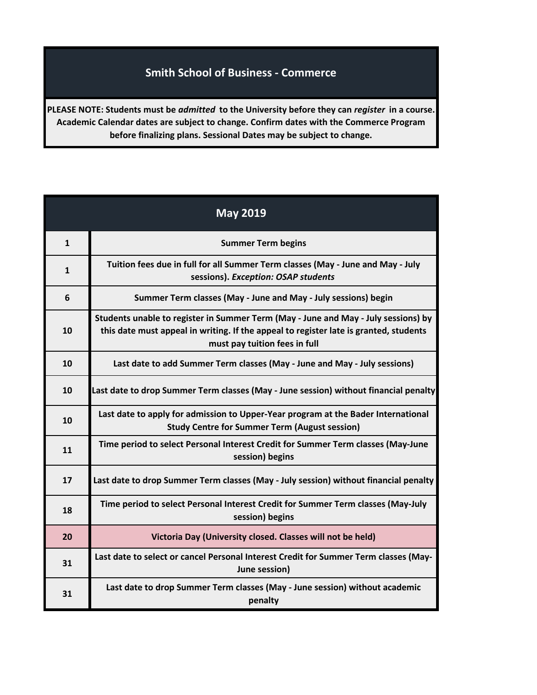## **Smith School of Business - Commerce**

**PLEASE NOTE: Students must be** *admitted* **to the University before they can** *register* **in a course. Academic Calendar dates are subject to change. Confirm dates with the Commerce Program before finalizing plans. Sessional Dates may be subject to change.**

| <b>May 2019</b> |                                                                                                                                                                                                              |
|-----------------|--------------------------------------------------------------------------------------------------------------------------------------------------------------------------------------------------------------|
| $\mathbf{1}$    | <b>Summer Term begins</b>                                                                                                                                                                                    |
| $\mathbf{1}$    | Tuition fees due in full for all Summer Term classes (May - June and May - July<br>sessions). Exception: OSAP students                                                                                       |
| 6               | Summer Term classes (May - June and May - July sessions) begin                                                                                                                                               |
| 10              | Students unable to register in Summer Term (May - June and May - July sessions) by<br>this date must appeal in writing. If the appeal to register late is granted, students<br>must pay tuition fees in full |
| 10              | Last date to add Summer Term classes (May - June and May - July sessions)                                                                                                                                    |
| 10              | Last date to drop Summer Term classes (May - June session) without financial penalty                                                                                                                         |
| 10              | Last date to apply for admission to Upper-Year program at the Bader International<br><b>Study Centre for Summer Term (August session)</b>                                                                    |
| 11              | Time period to select Personal Interest Credit for Summer Term classes (May-June<br>session) begins                                                                                                          |
| 17              | Last date to drop Summer Term classes (May - July session) without financial penalty                                                                                                                         |
| 18              | Time period to select Personal Interest Credit for Summer Term classes (May-July<br>session) begins                                                                                                          |
| 20              | Victoria Day (University closed. Classes will not be held)                                                                                                                                                   |
| 31              | Last date to select or cancel Personal Interest Credit for Summer Term classes (May-<br>June session)                                                                                                        |
| 31              | Last date to drop Summer Term classes (May - June session) without academic<br>penalty                                                                                                                       |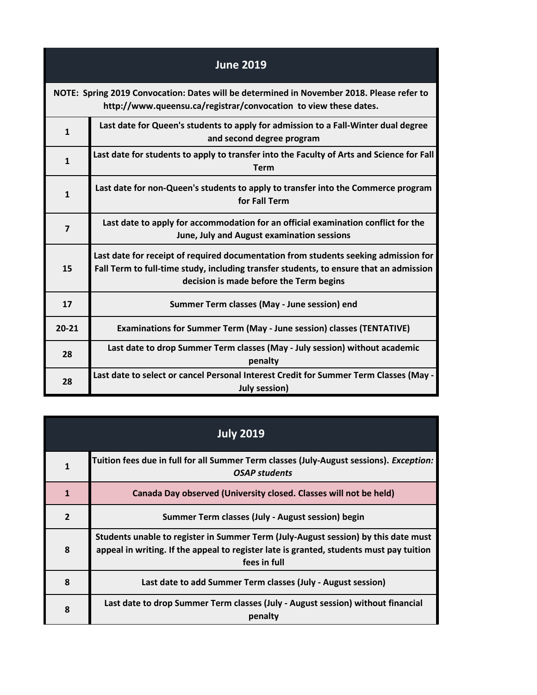| <b>June 2019</b>                                                                                                                                              |                                                                                                                                                                                                                          |
|---------------------------------------------------------------------------------------------------------------------------------------------------------------|--------------------------------------------------------------------------------------------------------------------------------------------------------------------------------------------------------------------------|
| NOTE: Spring 2019 Convocation: Dates will be determined in November 2018. Please refer to<br>http://www.queensu.ca/registrar/convocation to view these dates. |                                                                                                                                                                                                                          |
| $\mathbf{1}$                                                                                                                                                  | Last date for Queen's students to apply for admission to a Fall-Winter dual degree<br>and second degree program                                                                                                          |
| $\mathbf{1}$                                                                                                                                                  | Last date for students to apply to transfer into the Faculty of Arts and Science for Fall<br><b>Term</b>                                                                                                                 |
| $\mathbf{1}$                                                                                                                                                  | Last date for non-Queen's students to apply to transfer into the Commerce program<br>for Fall Term                                                                                                                       |
| $\overline{\mathbf{z}}$                                                                                                                                       | Last date to apply for accommodation for an official examination conflict for the<br>June, July and August examination sessions                                                                                          |
| 15                                                                                                                                                            | Last date for receipt of required documentation from students seeking admission for<br>Fall Term to full-time study, including transfer students, to ensure that an admission<br>decision is made before the Term begins |
| 17                                                                                                                                                            | Summer Term classes (May - June session) end                                                                                                                                                                             |
| $20 - 21$                                                                                                                                                     | <b>Examinations for Summer Term (May - June session) classes (TENTATIVE)</b>                                                                                                                                             |
| 28                                                                                                                                                            | Last date to drop Summer Term classes (May - July session) without academic<br>penalty                                                                                                                                   |
| 28                                                                                                                                                            | Last date to select or cancel Personal Interest Credit for Summer Term Classes (May -<br><b>July session)</b>                                                                                                            |

| <b>July 2019</b> |                                                                                                                                                                                               |
|------------------|-----------------------------------------------------------------------------------------------------------------------------------------------------------------------------------------------|
| $\mathbf{1}$     | Tuition fees due in full for all Summer Term classes (July-August sessions). Exception:<br><b>OSAP</b> students                                                                               |
| $\mathbf{1}$     | Canada Day observed (University closed. Classes will not be held)                                                                                                                             |
| $\overline{2}$   | Summer Term classes (July - August session) begin                                                                                                                                             |
| 8                | Students unable to register in Summer Term (July-August session) by this date must<br>appeal in writing. If the appeal to register late is granted, students must pay tuition<br>fees in full |
| 8                | Last date to add Summer Term classes (July - August session)                                                                                                                                  |
| 8                | Last date to drop Summer Term classes (July - August session) without financial<br>penalty                                                                                                    |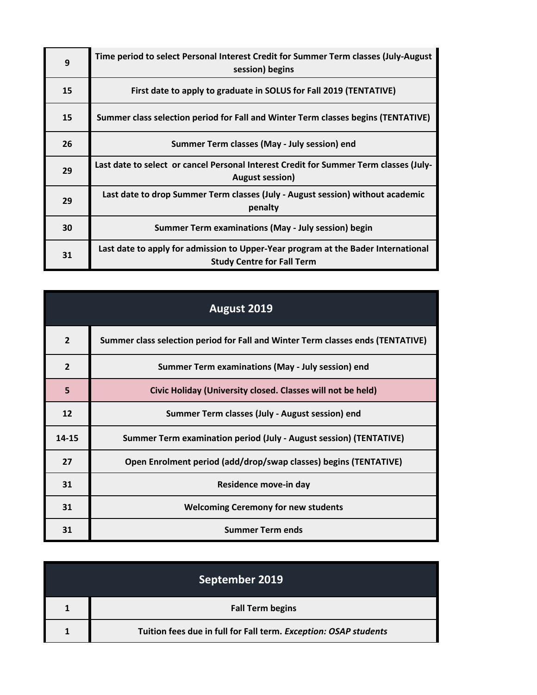| 9  | Time period to select Personal Interest Credit for Summer Term classes (July-August<br>session) begins                 |
|----|------------------------------------------------------------------------------------------------------------------------|
| 15 | First date to apply to graduate in SOLUS for Fall 2019 (TENTATIVE)                                                     |
| 15 | Summer class selection period for Fall and Winter Term classes begins (TENTATIVE)                                      |
| 26 | Summer Term classes (May - July session) end                                                                           |
| 29 | Last date to select or cancel Personal Interest Credit for Summer Term classes (July-<br><b>August session)</b>        |
| 29 | Last date to drop Summer Term classes (July - August session) without academic<br>penalty                              |
| 30 | Summer Term examinations (May - July session) begin                                                                    |
| 31 | Last date to apply for admission to Upper-Year program at the Bader International<br><b>Study Centre for Fall Term</b> |

| August 2019    |                                                                                 |
|----------------|---------------------------------------------------------------------------------|
| $\overline{2}$ | Summer class selection period for Fall and Winter Term classes ends (TENTATIVE) |
| $\overline{2}$ | Summer Term examinations (May - July session) end                               |
| 5              | Civic Holiday (University closed. Classes will not be held)                     |
| 12             | Summer Term classes (July - August session) end                                 |
| 14-15          | Summer Term examination period (July - August session) (TENTATIVE)              |
| 27             | Open Enrolment period (add/drop/swap classes) begins (TENTATIVE)                |
| 31             | Residence move-in day                                                           |
| 31             | <b>Welcoming Ceremony for new students</b>                                      |
| 31             | <b>Summer Term ends</b>                                                         |

| September 2019 |                                                                  |
|----------------|------------------------------------------------------------------|
|                | <b>Fall Term begins</b>                                          |
|                | Tuition fees due in full for Fall term. Exception: OSAP students |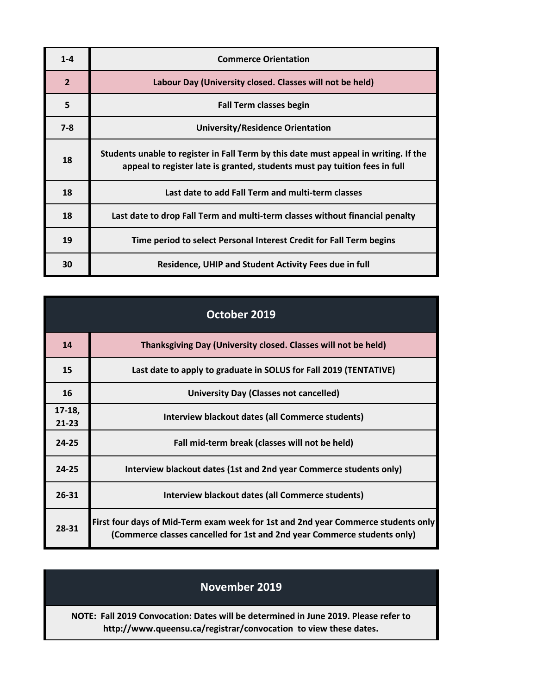| $1 - 4$        | <b>Commerce Orientation</b>                                                                                                                                        |
|----------------|--------------------------------------------------------------------------------------------------------------------------------------------------------------------|
| $\overline{2}$ | Labour Day (University closed. Classes will not be held)                                                                                                           |
| 5              | <b>Fall Term classes begin</b>                                                                                                                                     |
| $7 - 8$        | University/Residence Orientation                                                                                                                                   |
| 18             | Students unable to register in Fall Term by this date must appeal in writing. If the<br>appeal to register late is granted, students must pay tuition fees in full |
| 18             | Last date to add Fall Term and multi-term classes                                                                                                                  |
| 18             | Last date to drop Fall Term and multi-term classes without financial penalty                                                                                       |
| 19             | Time period to select Personal Interest Credit for Fall Term begins                                                                                                |
| 30             | Residence, UHIP and Student Activity Fees due in full                                                                                                              |

| October 2019          |                                                                                                                                                               |
|-----------------------|---------------------------------------------------------------------------------------------------------------------------------------------------------------|
| 14                    | Thanksgiving Day (University closed. Classes will not be held)                                                                                                |
| 15                    | Last date to apply to graduate in SOLUS for Fall 2019 (TENTATIVE)                                                                                             |
| 16                    | <b>University Day (Classes not cancelled)</b>                                                                                                                 |
| $17-18,$<br>$21 - 23$ | Interview blackout dates (all Commerce students)                                                                                                              |
| $24 - 25$             | Fall mid-term break (classes will not be held)                                                                                                                |
| $24 - 25$             | Interview blackout dates (1st and 2nd year Commerce students only)                                                                                            |
| $26 - 31$             | Interview blackout dates (all Commerce students)                                                                                                              |
| 28-31                 | First four days of Mid-Term exam week for 1st and 2nd year Commerce students only<br>(Commerce classes cancelled for 1st and 2nd year Commerce students only) |

## **NOTE: Fall 2019 Convocation: Dates will be determined in June 2019. Please refer to http://www.queensu.ca/registrar/convocation to view these dates. November 2019**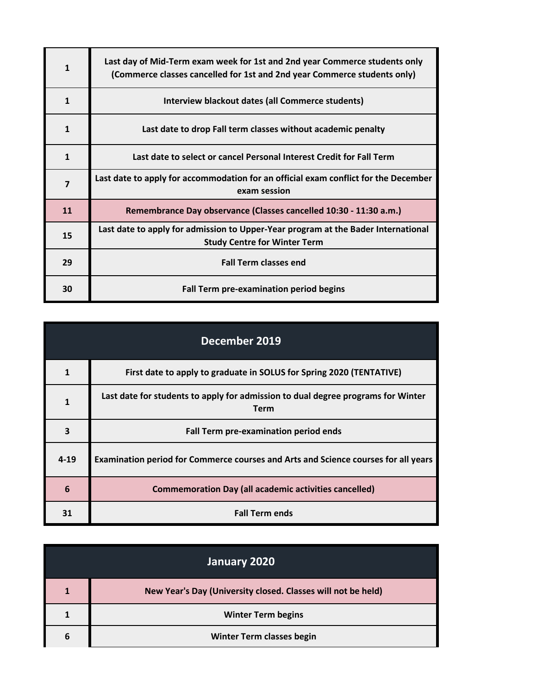| $\mathbf{1}$ | Last day of Mid-Term exam week for 1st and 2nd year Commerce students only<br>(Commerce classes cancelled for 1st and 2nd year Commerce students only) |
|--------------|--------------------------------------------------------------------------------------------------------------------------------------------------------|
| $\mathbf{1}$ | Interview blackout dates (all Commerce students)                                                                                                       |
| $\mathbf{1}$ | Last date to drop Fall term classes without academic penalty                                                                                           |
| $\mathbf{1}$ | Last date to select or cancel Personal Interest Credit for Fall Term                                                                                   |
| 7            | Last date to apply for accommodation for an official exam conflict for the December<br>exam session                                                    |
| 11           | Remembrance Day observance (Classes cancelled 10:30 - 11:30 a.m.)                                                                                      |
| 15           | Last date to apply for admission to Upper-Year program at the Bader International<br><b>Study Centre for Winter Term</b>                               |
| 29           | <b>Fall Term classes end</b>                                                                                                                           |
| 30           | Fall Term pre-examination period begins                                                                                                                |

| December 2019  |                                                                                                 |
|----------------|-------------------------------------------------------------------------------------------------|
| $\overline{1}$ | First date to apply to graduate in SOLUS for Spring 2020 (TENTATIVE)                            |
| $\mathbf{1}$   | Last date for students to apply for admission to dual degree programs for Winter<br><b>Term</b> |
| 3              | Fall Term pre-examination period ends                                                           |
| $4 - 19$       | Examination period for Commerce courses and Arts and Science courses for all years              |
| 6              | <b>Commemoration Day (all academic activities cancelled)</b>                                    |
| 31             | <b>Fall Term ends</b>                                                                           |

| January 2020 |                                                              |
|--------------|--------------------------------------------------------------|
|              | New Year's Day (University closed. Classes will not be held) |
|              | <b>Winter Term begins</b>                                    |
| 6            | Winter Term classes begin                                    |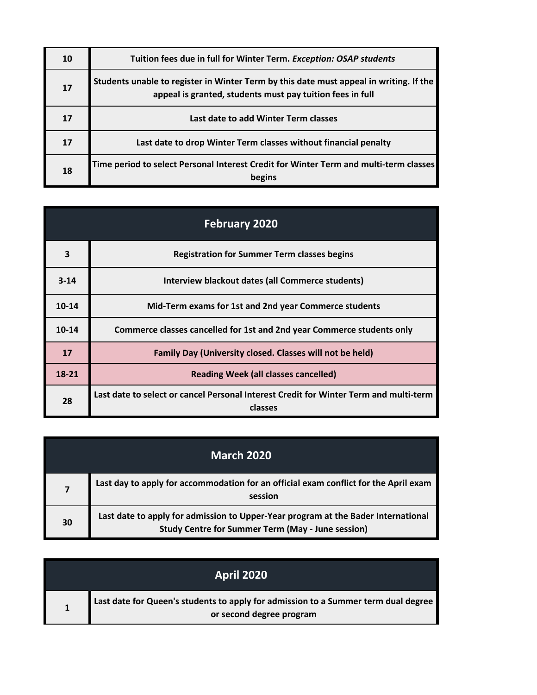| 10 | Tuition fees due in full for Winter Term. Exception: OSAP students                                                                                  |
|----|-----------------------------------------------------------------------------------------------------------------------------------------------------|
| 17 | Students unable to register in Winter Term by this date must appeal in writing. If the<br>appeal is granted, students must pay tuition fees in full |
| 17 | Last date to add Winter Term classes                                                                                                                |
| 17 | Last date to drop Winter Term classes without financial penalty                                                                                     |
| 18 | Time period to select Personal Interest Credit for Winter Term and multi-term classes<br>begins                                                     |

| <b>February 2020</b> |                                                                                                  |
|----------------------|--------------------------------------------------------------------------------------------------|
| 3                    | <b>Registration for Summer Term classes begins</b>                                               |
| $3 - 14$             | Interview blackout dates (all Commerce students)                                                 |
| $10 - 14$            | Mid-Term exams for 1st and 2nd year Commerce students                                            |
| $10 - 14$            | Commerce classes cancelled for 1st and 2nd year Commerce students only                           |
| 17                   | Family Day (University closed. Classes will not be held)                                         |
| 18-21                | <b>Reading Week (all classes cancelled)</b>                                                      |
| 28                   | Last date to select or cancel Personal Interest Credit for Winter Term and multi-term<br>classes |

| <b>March 2020</b> |                                                                                                                                               |
|-------------------|-----------------------------------------------------------------------------------------------------------------------------------------------|
| $\overline{7}$    | Last day to apply for accommodation for an official exam conflict for the April exam<br>session                                               |
| 30                | Last date to apply for admission to Upper-Year program at the Bader International<br><b>Study Centre for Summer Term (May - June session)</b> |

| <b>April 2020</b> |                                                                                                                |
|-------------------|----------------------------------------------------------------------------------------------------------------|
|                   | Last date for Queen's students to apply for admission to a Summer term dual degree<br>or second degree program |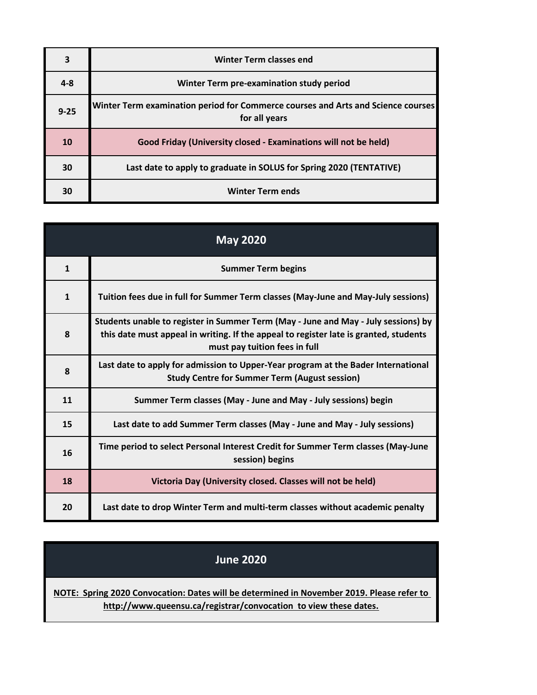| 3        | <b>Winter Term classes end</b>                                                                    |
|----------|---------------------------------------------------------------------------------------------------|
| $4 - 8$  | Winter Term pre-examination study period                                                          |
| $9 - 25$ | Winter Term examination period for Commerce courses and Arts and Science courses<br>for all years |
| 10       | Good Friday (University closed - Examinations will not be held)                                   |
| 30       | Last date to apply to graduate in SOLUS for Spring 2020 (TENTATIVE)                               |
| 30       | <b>Winter Term ends</b>                                                                           |

| <b>May 2020</b> |                                                                                                                                                                                                              |
|-----------------|--------------------------------------------------------------------------------------------------------------------------------------------------------------------------------------------------------------|
| $\mathbf{1}$    | <b>Summer Term begins</b>                                                                                                                                                                                    |
| $\mathbf{1}$    | Tuition fees due in full for Summer Term classes (May-June and May-July sessions)                                                                                                                            |
| 8               | Students unable to register in Summer Term (May - June and May - July sessions) by<br>this date must appeal in writing. If the appeal to register late is granted, students<br>must pay tuition fees in full |
| 8               | Last date to apply for admission to Upper-Year program at the Bader International<br><b>Study Centre for Summer Term (August session)</b>                                                                    |
| 11              | Summer Term classes (May - June and May - July sessions) begin                                                                                                                                               |
| 15              | Last date to add Summer Term classes (May - June and May - July sessions)                                                                                                                                    |
| 16              | Time period to select Personal Interest Credit for Summer Term classes (May-June<br>session) begins                                                                                                          |
| 18              | Victoria Day (University closed. Classes will not be held)                                                                                                                                                   |
| 20              | Last date to drop Winter Term and multi-term classes without academic penalty                                                                                                                                |

## **June 2020**

**[NOTE: Sp](http://www.queensu.ca/registrar/convocation)ring 2020 Convocation: Dates will be determined in November 2019. Please refer to [h](http://www.queensu.ca/registrar/convocation)ttp://www.queensu.ca/registrar/convocation to view these dates.**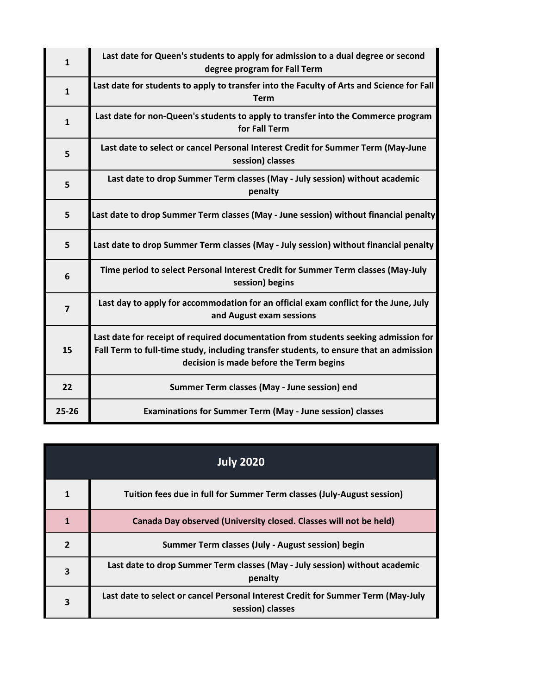| $\mathbf{1}$            | Last date for Queen's students to apply for admission to a dual degree or second<br>degree program for Fall Term                                                                                                         |
|-------------------------|--------------------------------------------------------------------------------------------------------------------------------------------------------------------------------------------------------------------------|
| $\mathbf{1}$            | Last date for students to apply to transfer into the Faculty of Arts and Science for Fall<br><b>Term</b>                                                                                                                 |
| $\mathbf{1}$            | Last date for non-Queen's students to apply to transfer into the Commerce program<br>for Fall Term                                                                                                                       |
| 5                       | Last date to select or cancel Personal Interest Credit for Summer Term (May-June<br>session) classes                                                                                                                     |
| 5                       | Last date to drop Summer Term classes (May - July session) without academic<br>penalty                                                                                                                                   |
| 5                       | Last date to drop Summer Term classes (May - June session) without financial penalty                                                                                                                                     |
| 5                       | Last date to drop Summer Term classes (May - July session) without financial penalty                                                                                                                                     |
| 6                       | Time period to select Personal Interest Credit for Summer Term classes (May-July<br>session) begins                                                                                                                      |
| $\overline{\mathbf{z}}$ | Last day to apply for accommodation for an official exam conflict for the June, July<br>and August exam sessions                                                                                                         |
| 15                      | Last date for receipt of required documentation from students seeking admission for<br>Fall Term to full-time study, including transfer students, to ensure that an admission<br>decision is made before the Term begins |
| 22                      | Summer Term classes (May - June session) end                                                                                                                                                                             |
| $25 - 26$               | <b>Examinations for Summer Term (May - June session) classes</b>                                                                                                                                                         |

| <b>July 2020</b> |                                                                                                      |
|------------------|------------------------------------------------------------------------------------------------------|
| 1                | Tuition fees due in full for Summer Term classes (July-August session)                               |
| 1                | Canada Day observed (University closed. Classes will not be held)                                    |
| $\mathbf{z}$     | Summer Term classes (July - August session) begin                                                    |
| 3                | Last date to drop Summer Term classes (May - July session) without academic<br>penalty               |
| 3                | Last date to select or cancel Personal Interest Credit for Summer Term (May-July<br>session) classes |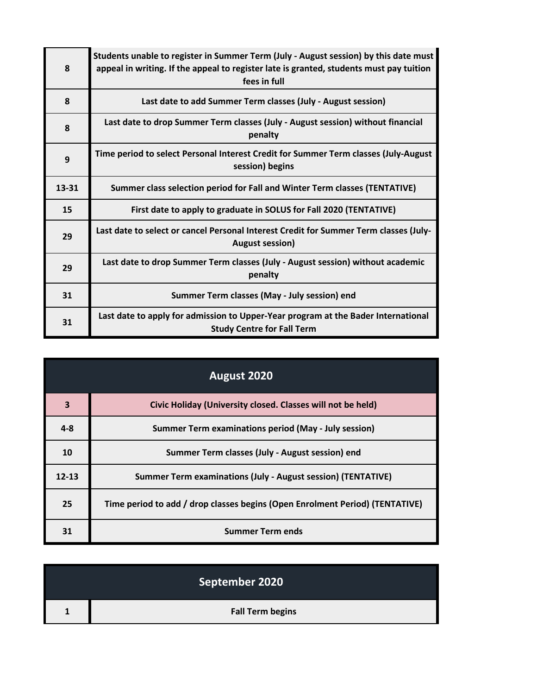| 8     | Students unable to register in Summer Term (July - August session) by this date must<br>appeal in writing. If the appeal to register late is granted, students must pay tuition<br>fees in full |
|-------|-------------------------------------------------------------------------------------------------------------------------------------------------------------------------------------------------|
| 8     | Last date to add Summer Term classes (July - August session)                                                                                                                                    |
| 8     | Last date to drop Summer Term classes (July - August session) without financial<br>penalty                                                                                                      |
| 9     | Time period to select Personal Interest Credit for Summer Term classes (July-August<br>session) begins                                                                                          |
| 13-31 | Summer class selection period for Fall and Winter Term classes (TENTATIVE)                                                                                                                      |
| 15    | First date to apply to graduate in SOLUS for Fall 2020 (TENTATIVE)                                                                                                                              |
| 29    | Last date to select or cancel Personal Interest Credit for Summer Term classes (July-<br><b>August session)</b>                                                                                 |
| 29    | Last date to drop Summer Term classes (July - August session) without academic<br>penalty                                                                                                       |
| 31    | Summer Term classes (May - July session) end                                                                                                                                                    |
| 31    | Last date to apply for admission to Upper-Year program at the Bader International<br><b>Study Centre for Fall Term</b>                                                                          |

| August 2020 |                                                                              |
|-------------|------------------------------------------------------------------------------|
| 3           | Civic Holiday (University closed. Classes will not be held)                  |
| $4 - 8$     | <b>Summer Term examinations period (May - July session)</b>                  |
| 10          | Summer Term classes (July - August session) end                              |
| $12 - 13$   | <b>Summer Term examinations (July - August session) (TENTATIVE)</b>          |
| 25          | Time period to add / drop classes begins (Open Enrolment Period) (TENTATIVE) |
| 31          | <b>Summer Term ends</b>                                                      |

|              | September 2020          |
|--------------|-------------------------|
| $\mathbf{1}$ | <b>Fall Term begins</b> |